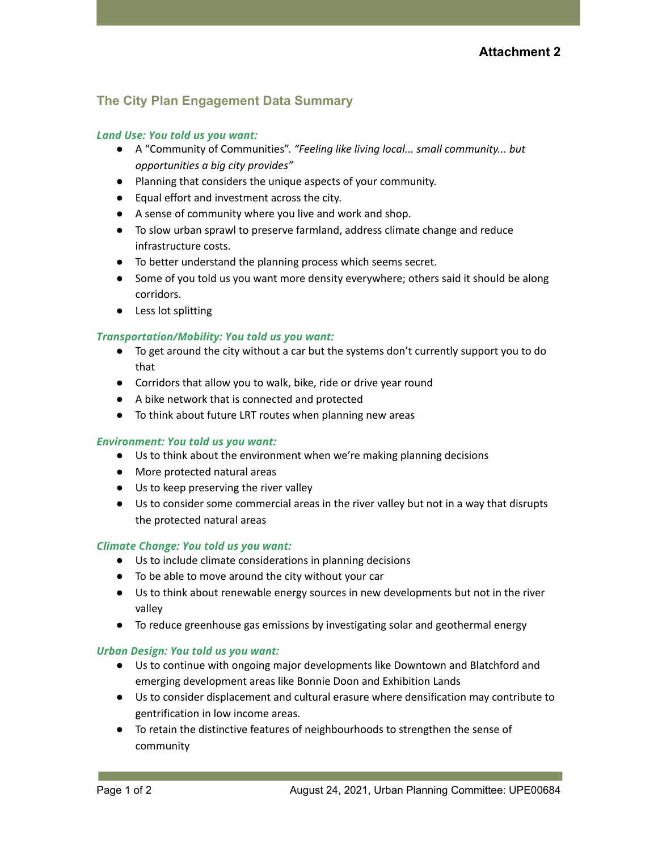# **The City Plan Engagement Data Summary**

# *Land Use: You told us you want:*

- A "Community of Communities". *"Feeling like living local... small community... but opportunities a big city provides"*
- Planning that considers the unique aspects of your community.
- Equal effort and investment across the city.
- A sense of community where you live and work and shop.
- To slow urban sprawl to preserve farmland, address climate change and reduce infrastructure costs.
- To better understand the planning process which seems secret.
- Some of you told us you want more density everywhere; others said it should be along corridors.
- Less lot splitting

## *Transportation/Mobility: You told us you want:*

- To get around the city without a car but the systems don't currently support you to do that
- Corridors that allow you to walk, bike, ride or drive year round
- A bike network that is connected and protected
- To think about future LRT routes when planning new areas

## *Environment: You told us you want:*

- Us to think about the environment when we're making planning decisions
- More protected natural areas
- Us to keep preserving the river valley
- Us to consider some commercial areas in the river valley but not in a way that disrupts the protected natural areas

## *Climate Change: You told us you want:*

- Us to include climate considerations in planning decisions
- To be able to move around the city without your car
- Us to think about renewable energy sources in new developments but not in the river valley
- To reduce greenhouse gas emissions by investigating solar and geothermal energy

## *Urban Design: You told us you want:*

- Us to continue with ongoing major developments like Downtown and Blatchford and emerging development areas like Bonnie Doon and Exhibition Lands
- Us to consider displacement and cultural erasure where densification may contribute to gentrification in low income areas.
- To retain the distinctive features of neighbourhoods to strengthen the sense of community